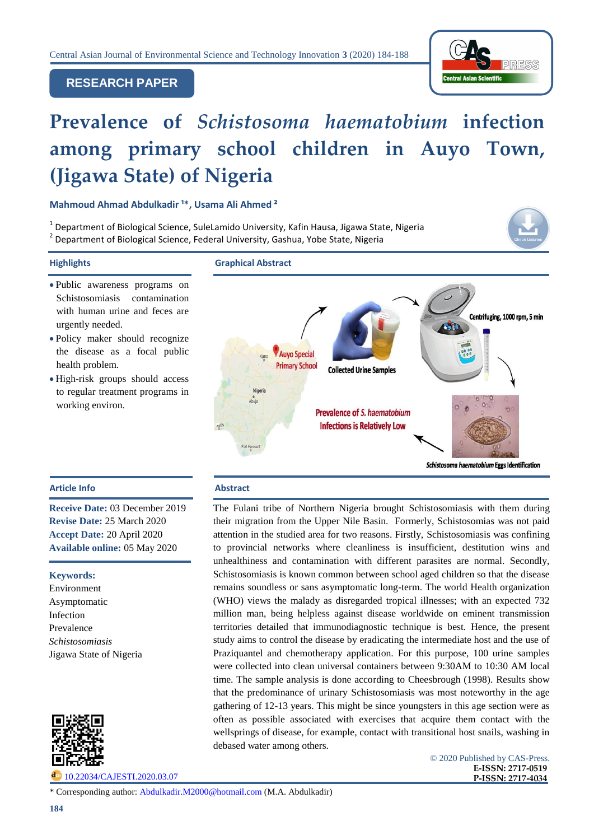

## **RESEARCH PAPER**

# **Prevalence of** *Schistosoma haematobium* **infection among primary school children in Auyo Town, (Jigawa State) of Nigeria**

**Mahmoud Ahmad Abdulkadir ¹\*, Usama Ali Ahmed ²**

 $^1$  Department of Biological Science, SuleLamido University, Kafin Hausa, Jigawa State, Nigeria <sup>2</sup> Department of Biological Science, Federal University, Gashua, Yobe State, Nigeria



- Public awareness programs on Schistosomiasis contamination with human urine and feces are urgently needed.
- Policy maker should recognize the disease as a focal public health problem.
- High-risk groups should access to regular treatment programs in working environ.



#### **Article Info Abstract**

**Receive Date:** 03 December 2019 **Revise Date:** 25 March 2020 **Accept Date:** 20 April 2020 **Available online:** 05 May 2020

#### **Keywords:**

Environment Asymptomatic Infection Prevalence *Schistosomiasis*  Jigawa State of Nigeria



[10.22034/CAJESTI.2020.03.07](http://www.cas-press.com/article_111219.html)

The Fulani tribe of Northern Nigeria brought Schistosomiasis with them during their migration from the Upper Nile Basin. Formerly, Schistosomias was not paid attention in the studied area for two reasons. Firstly, Schistosomiasis was confining to provincial networks where cleanliness is insufficient, destitution wins and unhealthiness and contamination with different parasites are normal. Secondly, Schistosomiasis is known common between school aged children so that the disease remains soundless or sans asymptomatic long-term. The world Health organization (WHO) views the malady as disregarded tropical illnesses; with an expected 732 million man, being helpless against disease worldwide on eminent transmission territories detailed that immunodiagnostic technique is best. Hence, the present study aims to control the disease by eradicating the intermediate host and the use of Praziquantel and chemotherapy application. For this purpose, 100 urine samples were collected into clean universal containers between 9:30AM to 10:30 AM local time. The sample analysis is done according to Cheesbrough (1998). Results show that the predominance of urinary Schistosomiasis was most noteworthy in the age gathering of 12-13 years. This might be since youngsters in this age section were as often as possible associated with exercises that acquire them contact with the wellsprings of disease, for example, contact with transitional host snails, washing in debased water among others.

> © 2020 Published by CAS-Press. **E-ISSN: 2717-0519 P-ISSN: 2717-4034**

\* Corresponding author: [Abdulkadir.M2000@hotmail.com](mailto:Abdulkadir.M2000@hotmail.com) (M.A. Abdulkadir)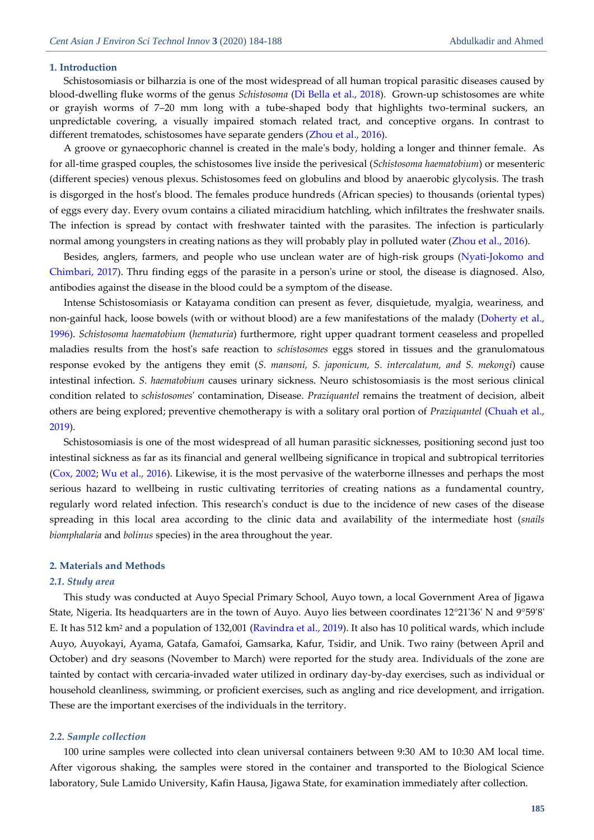#### **1. Introduction**

Schistosomiasis or bilharzia is one of the most widespread of all human tropical parasitic diseases caused by blood-dwelling fluke worms of the genus *Schistosoma* [\(Di Bella et al.,](#page-4-0) 2018). Grown-up schistosomes are white or grayish worms of 7–20 mm long with a tube-shaped body that highlights two-terminal suckers, an unpredictable covering, a visually impaired stomach related tract, and conceptive organs. In contrast to different trematodes, schistosomes have separate genders (Zhou [et al., 2016\)](#page-4-1).

A groove or gynaecophoric channel is created in the male's body, holding a longer and thinner female. As for all-time grasped couples, the schistosomes live inside the perivesical (*Schistosoma haematobium*) or mesenteric (different species) venous plexus. Schistosomes feed on globulins and blood by anaerobic glycolysis. The trash is disgorged in the host's blood. The females produce hundreds (African species) to thousands (oriental types) of eggs every day. Every ovum contains a ciliated miracidium hatchling, which infiltrates the freshwater snails. The infection is spread by contact with freshwater tainted with the parasites. The infection is particularly normal among youngsters in creating nations as they will probably play in polluted water [\(Zhou et al., 2016\)](#page-4-1).

Besides, anglers, farmers, and people who use unclean water are of high-risk groups [\(Nyati-Jokomo and](#page-4-2)  [Chimbari, 2017\)](#page-4-2). Thru finding eggs of the parasite in a person's urine or stool, the disease is diagnosed. Also, antibodies against the disease in the blood could be a symptom of the disease.

Intense Schistosomiasis or Katayama condition can present as fever, disquietude, myalgia, weariness, and non-gainful hack, loose bowels (with or without blood) are a few manifestations of the malady [\(Doherty et al.,](#page-4-3)  [1996\)](#page-4-3). *Schistosoma haematobium* (*hematuria*) furthermore, right upper quadrant torment ceaseless and propelled maladies results from the host's safe reaction to *schistosomes* eggs stored in tissues and the granulomatous response evoked by the antigens they emit (*S. mansoni, S. japonicum, S. intercalatum, and S. mekongi*) cause intestinal infection. *S. haematobium* causes urinary sickness. Neuro schistosomiasis is the most serious clinical condition related to *schistosomes*' contamination, Disease. *Praziquantel* remains the treatment of decision, albeit others are being explored; preventive chemotherapy is with a solitary oral portion of *Praziquantel* [\(Chuah et al.,](#page-3-0)  [2019\)](#page-3-0).

Schistosomiasis is one of the most widespread of all human parasitic sicknesses, positioning second just too intestinal sickness as far as its financial and general wellbeing significance in tropical and subtropical territories (Cox, 2002; [Wu et al., 2016\)](#page-4-4). Likewise, it is the most pervasive of the waterborne illnesses and perhaps the most serious hazard to wellbeing in rustic cultivating territories of creating nations as a fundamental country, regularly word related infection. This research's conduct is due to the incidence of new cases of the disease spreading in this local area according to the clinic data and availability of the intermediate host (*snails biomphalaria* and *bolinus* species) in the area throughout the year.

#### **2. Materials and Methods**

#### *2.1. Study area*

This study was conducted at Auyo Special Primary School, Auyo town, a local Government Area of Jigawa State, Nigeria. Its headquarters are in the town of Auyo. Auyo lies between coordinates 12°21'36' N and 9°59'8' E. It has 512 km<sup>2</sup> and a population of 132,001 [\(Ravindra et al., 2019\)](#page-4-5). It also has 10 political wards, which include Auyo, Auyokayi, Ayama, Gatafa, Gamafoi, Gamsarka, Kafur, Tsidir, and Unik. Two rainy (between April and October) and dry seasons (November to March) were reported for the study area. Individuals of the zone are tainted by contact with cercaria-invaded water utilized in ordinary day-by-day exercises, such as individual or household cleanliness, swimming, or proficient exercises, such as angling and rice development, and irrigation. These are the important exercises of the individuals in the territory.

#### *2.2. Sample collection*

100 urine samples were collected into clean universal containers between 9:30 AM to 10:30 AM local time. After vigorous shaking, the samples were stored in the container and transported to the Biological Science laboratory, Sule Lamido University, Kafin Hausa, Jigawa State, for examination immediately after collection.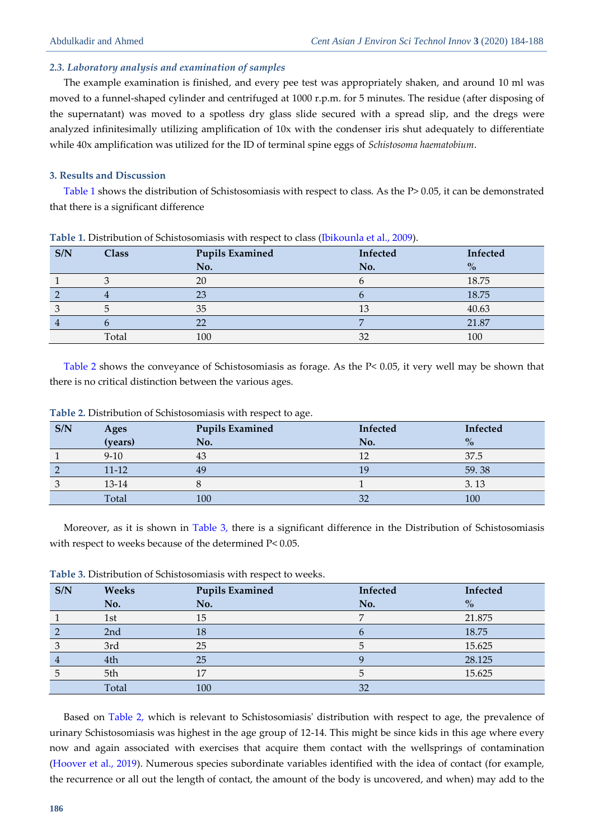#### *2.3. Laboratory analysis and examination of samples*

The example examination is finished, and every pee test was appropriately shaken, and around 10 ml was moved to a funnel-shaped cylinder and centrifuged at 1000 r.p.m. for 5 minutes. The residue (after disposing of the supernatant) was moved to a spotless dry glass slide secured with a spread slip, and the dregs were analyzed infinitesimally utilizing amplification of 10x with the condenser iris shut adequately to differentiate while 40x amplification was utilized for the ID of terminal spine eggs of *Schistosoma haematobium*.

### **3. Results and Discussion**

<span id="page-2-0"></span>[Table 1](#page-2-0) shows the distribution of Schistosomiasis with respect to class. As the P> 0.05, it can be demonstrated that there is a significant difference

| S/N | <b>Class</b> | <b>Pupils Examined</b> | Infected | Infected |
|-----|--------------|------------------------|----------|----------|
|     |              | No.                    | No.      | $\%$     |
|     |              | 20                     |          | 18.75    |
|     |              | 23                     |          | 18.75    |
|     |              | 35                     |          | 40.63    |
|     |              | nr                     |          | 21.87    |
|     | Total        | 100                    | $\cap$   | 100      |

**Table 1.** Distribution of Schistosomiasis with respect to class [\(Ibikounla et al., 2009\)](#page-4-6).

[Table 2](#page-2-1) shows the conveyance of Schistosomiasis as forage. As the P< 0.05, it very well may be shown that there is no critical distinction between the various ages.

| S/N | Ages      | <b>Pupils Examined</b> | Infected | Infected |
|-----|-----------|------------------------|----------|----------|
|     | (years)   | No.                    | No.      | $\%$     |
|     | $9-10$    | 43                     | 12       | 37.5     |
|     | $11 - 12$ | 49                     | 19       | 59.38    |
|     | 13-14     |                        |          | 3.13     |
|     | Total     | 100                    | 32       | 100      |

<span id="page-2-1"></span>**Table 2.** Distribution of Schistosomiasis with respect to age.

Moreover, as it is shown in [Table](#page-2-2) 3, there is a significant difference in the Distribution of Schistosomiasis with respect to weeks because of the determined P< 0.05.

<span id="page-2-2"></span>**Table 3.** Distribution of Schistosomiasis with respect to weeks.

| S/N | Weeks           | <b>Pupils Examined</b> | Infected | Infected      |
|-----|-----------------|------------------------|----------|---------------|
|     | No.             | No.                    | No.      | $\frac{6}{6}$ |
|     | 1st             | 15                     |          | 21.875        |
|     | 2 <sub>nd</sub> |                        |          | 18.75         |
|     | 3rd             | 25                     |          | 15.625        |
|     | 4th             | 25                     |          | 28.125        |
|     | 5th             | 17                     |          | 15.625        |
|     | Total           | 100                    | 32       |               |

Based on [Table](#page-2-1) 2, which is relevant to Schistosomiasis' distribution with respect to age, the prevalence of urinary Schistosomiasis was highest in the age group of 12-14. This might be since kids in this age where every now and again associated with exercises that acquire them contact with the wellsprings of contamination [\(Hoover et al., 2019\)](#page-4-7). Numerous species subordinate variables identified with the idea of contact (for example, the recurrence or all out the length of contact, the amount of the body is uncovered, and when) may add to the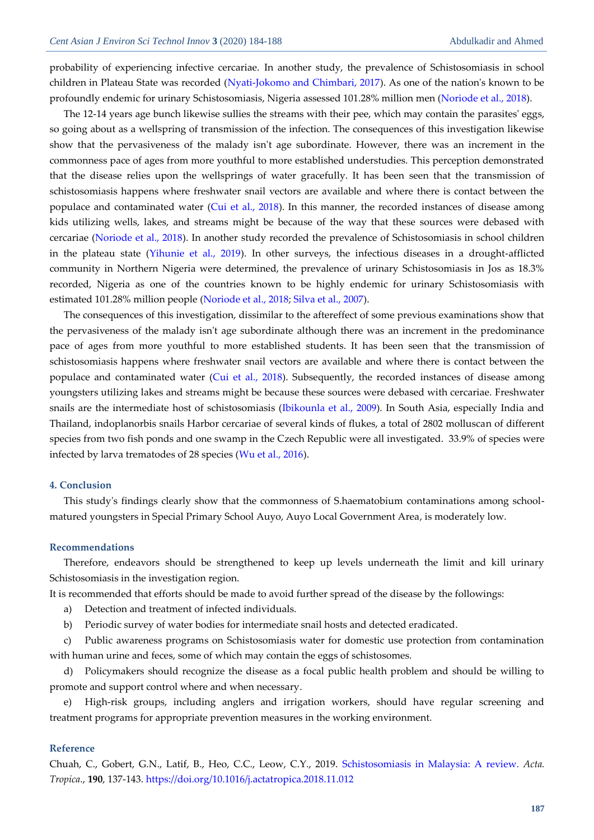probability of experiencing infective cercariae. In another study, the prevalence of Schistosomiasis in school children in Plateau State was recorded [\(Nyati-Jokomo and Chimbari, 2017\)](#page-4-2). As one of the nation's known to be profoundly endemic for urinary Schistosomiasis, Nigeria assessed 101.28% million men [\(Noriode et al., 2018\)](#page-4-8).

The 12-14 years age bunch likewise sullies the streams with their pee, which may contain the parasites' eggs, so going about as a wellspring of transmission of the infection. The consequences of this investigation likewise show that the pervasiveness of the malady isn't age subordinate. However, there was an increment in the commonness pace of ages from more youthful to more established understudies. This perception demonstrated that the disease relies upon the wellsprings of water gracefully. It has been seen that the transmission of schistosomiasis happens where freshwater snail vectors are available and where there is contact between the populace and contaminated water [\(Cui et al., 2018\)](#page-4-9). In this manner, the recorded instances of disease among kids utilizing wells, lakes, and streams might be because of the way that these sources were debased with cercariae [\(Noriode et al., 2018\)](#page-4-8). In another study recorded the prevalence of Schistosomiasis in school children in the plateau state [\(Yihunie et al., 2019\)](#page-4-10). In other surveys, the infectious diseases in a drought-afflicted community in Northern Nigeria were determined, the prevalence of urinary Schistosomiasis in Jos as 18.3% recorded, Nigeria as one of the countries known to be highly endemic for urinary Schistosomiasis with estimated 101.28% million people [\(Noriode et al., 2018;](#page-4-8) [Silva et al., 2007\)](#page-4-11).

The consequences of this investigation, dissimilar to the aftereffect of some previous examinations show that the pervasiveness of the malady isn't age subordinate although there was an increment in the predominance pace of ages from more youthful to more established students. It has been seen that the transmission of schistosomiasis happens where freshwater snail vectors are available and where there is contact between the populace and contaminated water [\(Cui et al., 2018\)](#page-4-9). Subsequently, the recorded instances of disease among youngsters utilizing lakes and streams might be because these sources were debased with cercariae. Freshwater snails are the intermediate host of schistosomiasis [\(Ibikounla](#page-4-6) et al., 2009). In South Asia, especially India and Thailand, indoplanorbis snails Harbor cercariae of several kinds of flukes, a total of 2802 molluscan of different species from two fish ponds and one swamp in the Czech Republic were all investigated. 33.9% of species were infected by larva trematodes of 28 species [\(Wu et al., 2016\)](#page-4-4).

#### **4. Conclusion**

This study's findings clearly show that the commonness of S.haematobium contaminations among schoolmatured youngsters in Special Primary School Auyo, Auyo Local Government Area, is moderately low.

#### **Recommendations**

Therefore, endeavors should be strengthened to keep up levels underneath the limit and kill urinary Schistosomiasis in the investigation region.

It is recommended that efforts should be made to avoid further spread of the disease by the followings:

- a) Detection and treatment of infected individuals.
- b) Periodic survey of water bodies for intermediate snail hosts and detected eradicated.

c) Public awareness programs on Schistosomiasis water for domestic use protection from contamination with human urine and feces, some of which may contain the eggs of schistosomes.

d) Policymakers should recognize the disease as a focal public health problem and should be willing to promote and support control where and when necessary.

e) High-risk groups, including anglers and irrigation workers, should have regular screening and treatment programs for appropriate prevention measures in the working environment.

#### **Reference**

<span id="page-3-0"></span>Chuah, C., Gobert, G.N., Latif, B., Heo, C.C., Leow, C.Y., 2019. [Schistosomiasis in Malaysia: A review.](http://freepaper.me/PDF/?pdfURL=aHR0cHM6Ly9mcmVlcGFwZXIubWUvbi8zeWFZV2xib3hSeVpSZzRRS3RBajB3L1BERi9kNC9kNDdmNjNkYWY0NmU3NDM3YTY2MzgxOGQzMjhiZDcwYS5wZGY=&doi=10.1016/j.actatropica.2018.11.012) *Acta. Tropica*., **190**, 137-143. <https://doi.org/10.1016/j.actatropica.2018.11.012>